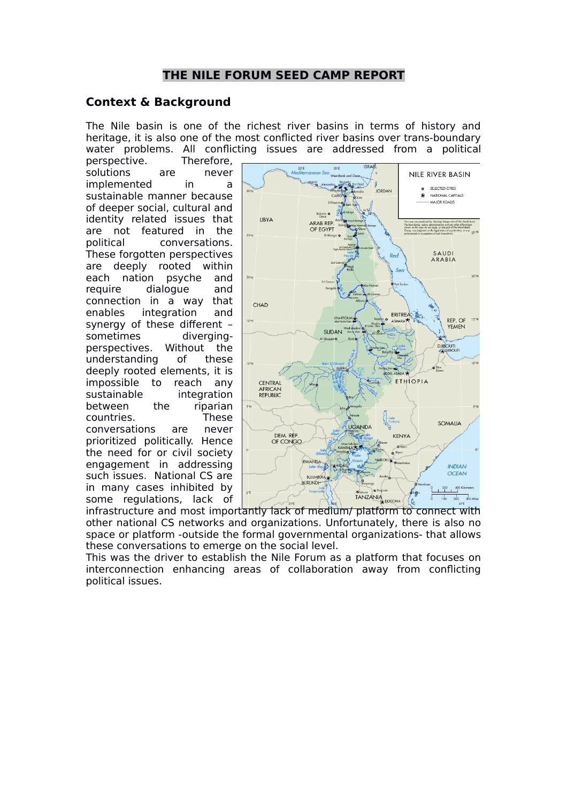# **THE NILE FORUM SEED CAMP REPORT**

### **Context & Background**

The Nile basin is one of the richest river basins in terms of history and heritage, it is also one of the most conflicted river basins over trans-boundary water problems. All conflicting issues are addressed from a political

perspective. Therefore, solutions are never implemented in a sustainable manner because of deeper social, cultural and identity related issues that are not featured in the political conversations. These forgotten perspectives are deeply rooted within each nation psyche and require dialogue and connection in a way that enables integration and synergy of these different – sometimes divergingperspectives. Without the understanding of these deeply rooted elements, it is impossible to reach any sustainable integration between the riparian countries. These conversations are never prioritized politically. Hence the need for or civil society engagement in addressing such issues. National CS are in many cases inhibited by some regulations, lack of



some regulations, lack of  $\begin{array}{|c|c|c|c|}\n\hline\nif a \text{ is a positive and } b \text{ is a positive and } c \text{ is a positive and } d \text{ is a positive and } d \text{ is a positive and } d \text{ is a positive and } d \text{ is a positive and } d \text{ is a positive and } d \text{ is a positive and } d \text{ is a positive and } d \text{ is a positive and } d \text{ is a positive and } d \text{ is a positive and } d \text{ is a positive and } d \text{ is a positive and } d \text{ is a positive and } d \text{ is a positive and } d \text{ is a positive and } d \text{ is a positive and } d \text$ other national CS networks and organizations. Unfortunately, there is also no space or platform -outside the formal governmental organizations- that allows these conversations to emerge on the social level.

This was the driver to establish the Nile Forum as a platform that focuses on interconnection enhancing areas of collaboration away from conflicting political issues.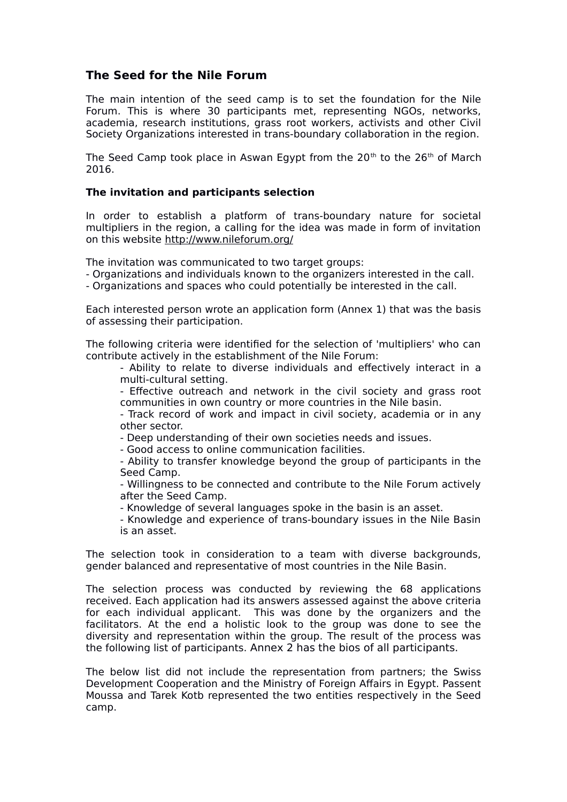# **The Seed for the Nile Forum**

The main intention of the seed camp is to set the foundation for the Nile Forum. This is where 30 participants met, representing NGOs, networks, academia, research institutions, grass root workers, activists and other Civil Society Organizations interested in trans-boundary collaboration in the region.

The Seed Camp took place in Aswan Egypt from the  $20<sup>th</sup>$  to the  $26<sup>th</sup>$  of March 2016.

### **The invitation and participants selection**

In order to establish a platform of trans-boundary nature for societal multipliers in the region, a calling for the idea was made in form of invitation on this website<http://www.nileforum.org/>

The invitation was communicated to two target groups:

- Organizations and individuals known to the organizers interested in the call.
- Organizations and spaces who could potentially be interested in the call.

Each interested person wrote an application form (Annex 1) that was the basis of assessing their participation.

The following criteria were identified for the selection of 'multipliers' who can contribute actively in the establishment of the Nile Forum:

- Ability to relate to diverse individuals and effectively interact in a multi-cultural setting.

- Effective outreach and network in the civil society and grass root communities in own country or more countries in the Nile basin.

- Track record of work and impact in civil society, academia or in any other sector.

- Deep understanding of their own societies needs and issues.

- Good access to online communication facilities.

- Ability to transfer knowledge beyond the group of participants in the Seed Camp.

- Willingness to be connected and contribute to the Nile Forum actively after the Seed Camp.

- Knowledge of several languages spoke in the basin is an asset.

- Knowledge and experience of trans-boundary issues in the Nile Basin is an asset.

The selection took in consideration to a team with diverse backgrounds, gender balanced and representative of most countries in the Nile Basin.

The selection process was conducted by reviewing the 68 applications received. Each application had its answers assessed against the above criteria for each individual applicant. This was done by the organizers and the facilitators. At the end a holistic look to the group was done to see the diversity and representation within the group. The result of the process was the following list of participants. Annex 2 has the bios of all participants.

The below list did not include the representation from partners; the Swiss Development Cooperation and the Ministry of Foreign Affairs in Egypt. Passent Moussa and Tarek Kotb represented the two entities respectively in the Seed camp.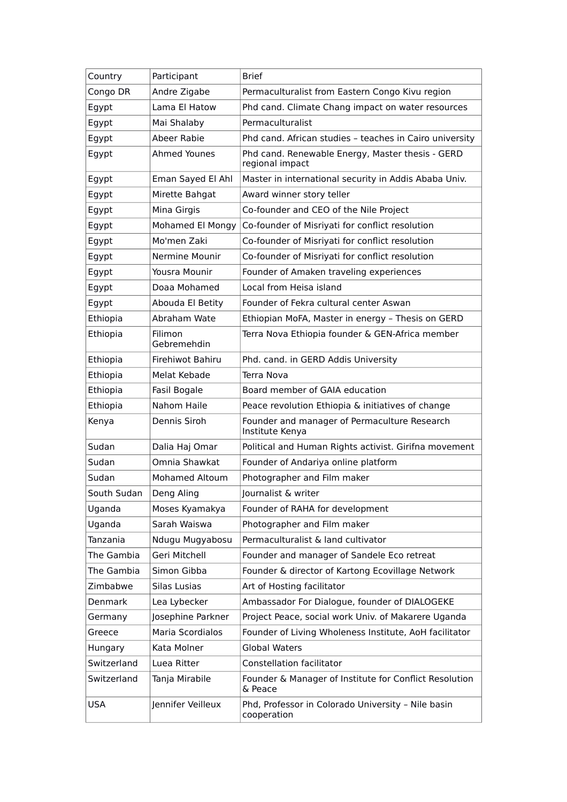| Country     | Participant            | Brief                                                               |
|-------------|------------------------|---------------------------------------------------------------------|
| Congo DR    | Andre Zigabe           | Permaculturalist from Eastern Congo Kivu region                     |
| Egypt       | Lama El Hatow          | Phd cand. Climate Chang impact on water resources                   |
| Egypt       | Mai Shalaby            | Permaculturalist                                                    |
| Egypt       | Abeer Rabie            | Phd cand. African studies - teaches in Cairo university             |
| Egypt       | Ahmed Younes           | Phd cand. Renewable Energy, Master thesis - GERD<br>regional impact |
| Egypt       | Eman Sayed El Ahl      | Master in international security in Addis Ababa Univ.               |
| Egypt       | Mirette Bahgat         | Award winner story teller                                           |
| Egypt       | Mina Girgis            | Co-founder and CEO of the Nile Project                              |
| Egypt       | Mohamed El Mongy       | Co-founder of Misriyati for conflict resolution                     |
| Egypt       | Mo'men Zaki            | Co-founder of Misriyati for conflict resolution                     |
| Egypt       | Nermine Mounir         | Co-founder of Misriyati for conflict resolution                     |
| Egypt       | Yousra Mounir          | Founder of Amaken traveling experiences                             |
| Egypt       | Doaa Mohamed           | Local from Heisa island                                             |
| Egypt       | Abouda El Betity       | Founder of Fekra cultural center Aswan                              |
| Ethiopia    | Abraham Wate           | Ethiopian MoFA, Master in energy - Thesis on GERD                   |
| Ethiopia    | Filimon<br>Gebremehdin | Terra Nova Ethiopia founder & GEN-Africa member                     |
| Ethiopia    | Firehiwot Bahiru       | Phd. cand. in GERD Addis University                                 |
| Ethiopia    | Melat Kebade           | Terra Nova                                                          |
| Ethiopia    | Fasil Bogale           | Board member of GAIA education                                      |
| Ethiopia    | Nahom Haile            | Peace revolution Ethiopia & initiatives of change                   |
| Kenya       | Dennis Siroh           | Founder and manager of Permaculture Research<br>Institute Kenya     |
| Sudan       | Dalia Haj Omar         | Political and Human Rights activist. Girifna movement               |
| Sudan       | Omnia Shawkat          | Founder of Andariya online platform                                 |
| Sudan       | <b>Mohamed Altoum</b>  | Photographer and Film maker                                         |
| South Sudan | Deng Aling             | Journalist & writer                                                 |
| Uganda      | Moses Kyamakya         | Founder of RAHA for development                                     |
| Uganda      | Sarah Waiswa           | Photographer and Film maker                                         |
| Tanzania    | Ndugu Mugyabosu        | Permaculturalist & land cultivator                                  |
| The Gambia  | Geri Mitchell          | Founder and manager of Sandele Eco retreat                          |
| The Gambia  | Simon Gibba            | Founder & director of Kartong Ecovillage Network                    |
| Zimbabwe    | Silas Lusias           | Art of Hosting facilitator                                          |
| Denmark     | Lea Lybecker           | Ambassador For Dialogue, founder of DIALOGEKE                       |
| Germany     | Josephine Parkner      | Project Peace, social work Univ. of Makarere Uganda                 |
| Greece      | Maria Scordialos       | Founder of Living Wholeness Institute, AoH facilitator              |
| Hungary     | Kata Molner            | <b>Global Waters</b>                                                |
| Switzerland | Luea Ritter            | Constellation facilitator                                           |
| Switzerland | Tanja Mirabile         | Founder & Manager of Institute for Conflict Resolution<br>& Peace   |
| <b>USA</b>  | Jennifer Veilleux      | Phd, Professor in Colorado University - Nile basin<br>cooperation   |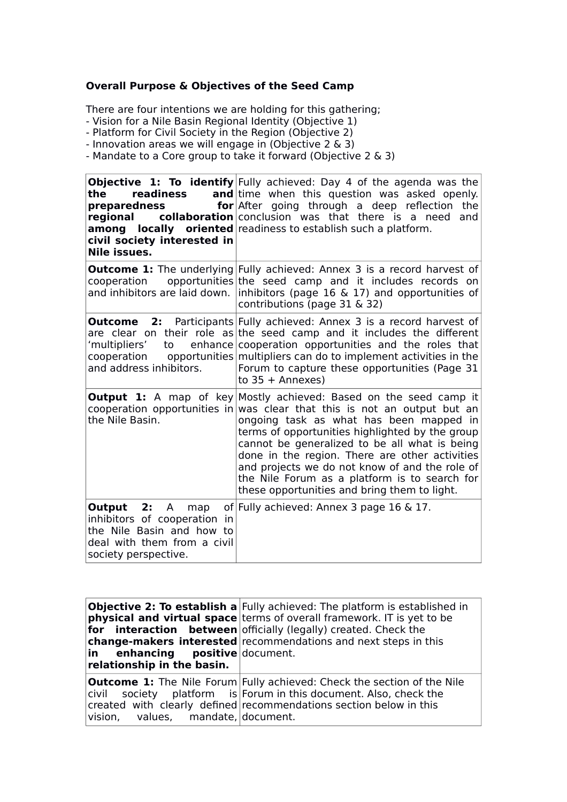### **Overall Purpose & Objectives of the Seed Camp**

There are four intentions we are holding for this gathering;

- Vision for a Nile Basin Regional Identity (Objective 1)

- Platform for Civil Society in the Region (Objective 2)

- Innovation areas we will engage in (Objective 2 & 3)

- Mandate to a Core group to take it forward (Objective 2 & 3)

**Objective 1: To identify** Fully achieved: Day 4 of the agenda was the the readiness **preparedness for regional collaboration** conclusion was that there is a need and **among** locally oriented readiness to establish such a platform. **civil society interested in Nile issues.**  and time when this question was asked openly. **for** After going through a deep reflection the **Outcome 1:** The underlying Fully achieved: Annex 3 is a record harvest of cooperation opportunities the seed camp and it includes records on and inhibitors are laid down. |inhibitors (page 16  $\&$  17) and opportunities of contributions (page 31 & 32) **Outcome** 2: are clear on their role as the seed camp and it includes the different 'multipliers' to cooperation apportunities multipliers can do to implement activities in the and address inhibitors. Participants Fully achieved: Annex 3 is a record harvest of cooperation opportunities and the roles that Forum to capture these opportunities (Page 31 to  $35 +$  Annexes) **Output 1:** A map of key|Mostly achieved: Based on the seed camp it cooperation opportunities in was clear that this is not an output but an the Nile Basin. ongoing task as what has been mapped in terms of opportunities highlighted by the group cannot be generalized to be all what is being done in the region. There are other activities and projects we do not know of and the role of the Nile Forum as a platform is to search for these opportunities and bring them to light. **Output 2:** A map inhibitors of cooperation in the Nile Basin and how to deal with them from a civil society perspective. of Fully achieved: Annex 3 page 16 & 17.

| in enhancing positive document.<br>relationship in the basin. | <b>Objective 2: To establish a</b> Fully achieved: The platform is established in<br><b>physical and virtual space</b> terms of overall framework. IT is yet to be<br><b>for interaction between</b> officially (legally) created. Check the<br>change-makers interested recommendations and next steps in this |
|---------------------------------------------------------------|-----------------------------------------------------------------------------------------------------------------------------------------------------------------------------------------------------------------------------------------------------------------------------------------------------------------|
| vision, values, mandate, document.                            | <b>Outcome 1:</b> The Nile Forum Fully achieved: Check the section of the Nile<br>$\vert$ civil society platform is Forum in this document. Also, check the<br>created with clearly defined recommendations section below in this                                                                               |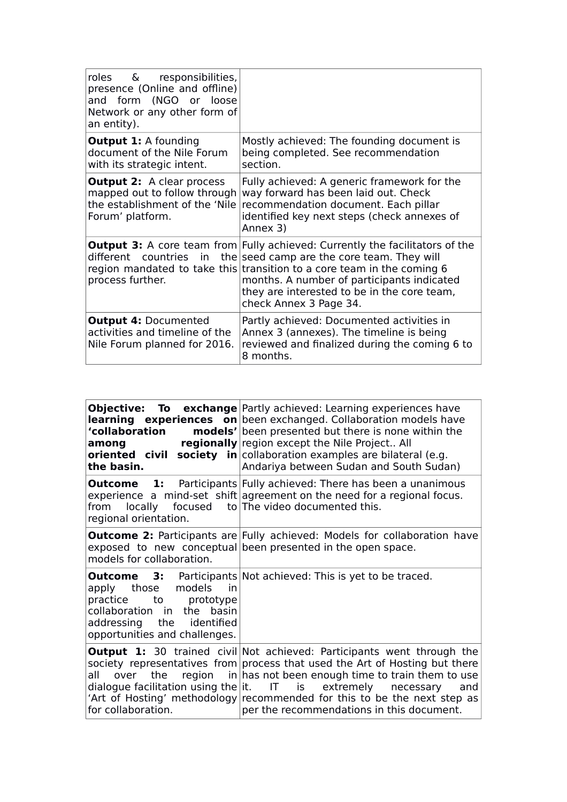| roles & responsibilities,<br>presence (Online and offline)<br>and form (NGO or loose<br>Network or any other form of<br>an entity). |                                                                                                                                                                                                                                                                                                                                                           |
|-------------------------------------------------------------------------------------------------------------------------------------|-----------------------------------------------------------------------------------------------------------------------------------------------------------------------------------------------------------------------------------------------------------------------------------------------------------------------------------------------------------|
| <b>Output 1: A founding</b><br>document of the Nile Forum<br>with its strategic intent.                                             | Mostly achieved: The founding document is<br>being completed. See recommendation<br>section.                                                                                                                                                                                                                                                              |
| <b>Output 2:</b> A clear process<br>mapped out to follow through<br>the establishment of the 'Nile'<br>Forum' platform.             | Fully achieved: A generic framework for the<br>way forward has been laid out. Check<br>recommendation document. Each pillar<br>identified key next steps (check annexes of<br>Annex 3)                                                                                                                                                                    |
| process further.                                                                                                                    | <b>Output 3:</b> A core team from Fully achieved: Currently the facilitators of the<br>different countries in the seed camp are the core team. They will<br>region mandated to take this transition to a core team in the coming 6<br>months. A number of participants indicated<br>they are interested to be in the core team,<br>check Annex 3 Page 34. |
| <b>Output 4: Documented</b><br>activities and timeline of the<br>Nile Forum planned for 2016.                                       | Partly achieved: Documented activities in<br>Annex 3 (annexes). The timeline is being<br>reviewed and finalized during the coming 6 to<br>8 months.                                                                                                                                                                                                       |

| 'collaboration<br>among<br>the basin.                                                                                                               | <b>Objective: To exchange</b> Partly achieved: Learning experiences have<br><b>learning experiences on</b> been exchanged. Collaboration models have<br><b>models'</b> been presented but there is none within the<br>regionally region except the Nile Project All<br><b>oriented</b> civil society in collaboration examples are bilateral (e.g.<br>Andariya between Sudan and South Sudan)                                                   |
|-----------------------------------------------------------------------------------------------------------------------------------------------------|-------------------------------------------------------------------------------------------------------------------------------------------------------------------------------------------------------------------------------------------------------------------------------------------------------------------------------------------------------------------------------------------------------------------------------------------------|
| from locally focused to The video documented this.<br>regional orientation.                                                                         | <b>Outcome</b> 1: Participants Fully achieved: There has been a unanimous<br>experience a mind-set shift agreement on the need for a regional focus.                                                                                                                                                                                                                                                                                            |
| models for collaboration.                                                                                                                           | <b>Outcome 2:</b> Participants are Fully achieved: Models for collaboration have<br>exposed to new conceptual been presented in the open space.                                                                                                                                                                                                                                                                                                 |
| apply those models<br>in in<br>practice to prototype<br>collaboration in<br>the basin<br>addressing the identified<br>opportunities and challenges. | <b>Outcome</b> 3: Participants Not achieved: This is yet to be traced.                                                                                                                                                                                                                                                                                                                                                                          |
| all<br>over<br>for collaboration.                                                                                                                   | <b>Output 1:</b> 30 trained civil Not achieved: Participants went through the<br>society representatives from process that used the Art of Hosting but there<br>the region $\frac{1}{n}$ in has not been enough time to train them to use<br>dialogue facilitation using the $\vert t$ . IT is extremely necessary and<br>'Art of Hosting' methodology recommended for this to be the next step as<br>per the recommendations in this document. |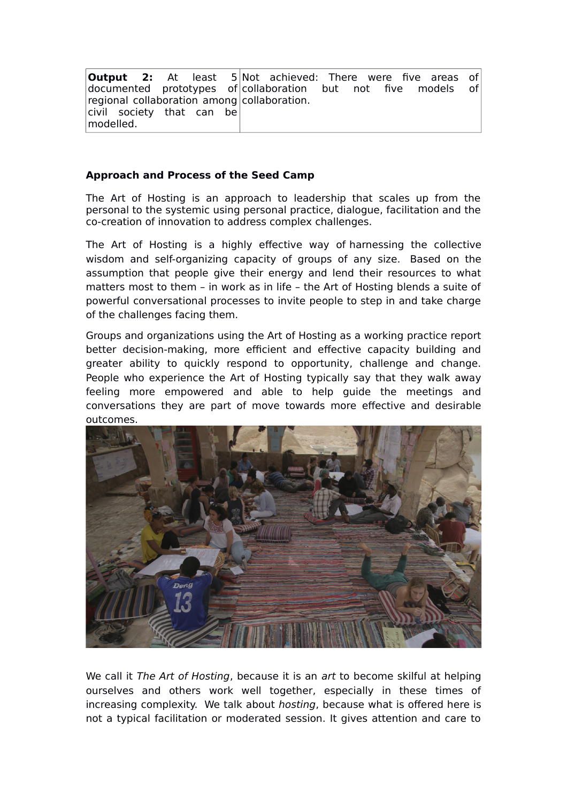| <b>Output 2:</b> At least $5 $ Not achieved: There were five areas of |  |  |  |  |  |  |
|-----------------------------------------------------------------------|--|--|--|--|--|--|
| documented prototypes of collaboration but not five models of         |  |  |  |  |  |  |
| regional collaboration among collaboration.                           |  |  |  |  |  |  |
| civil society that can be<br>modelled.                                |  |  |  |  |  |  |

### **Approach and Process of the Seed Camp**

The Art of Hosting is an approach to leadership that scales up from the personal to the systemic using personal practice, dialogue, facilitation and the co-creation of innovation to address complex challenges.

The Art of Hosting is a highly effective way of harnessing the collective wisdom and self-organizing capacity of groups of any size. Based on the assumption that people give their energy and lend their resources to what matters most to them – in work as in life – the Art of Hosting blends a suite of powerful conversational processes to invite people to step in and take charge of the challenges facing them.

Groups and organizations using the Art of Hosting as a working practice report better decision-making, more efficient and effective capacity building and greater ability to quickly respond to opportunity, challenge and change. People who experience the Art of Hosting typically say that they walk away feeling more empowered and able to help guide the meetings and conversations they are part of move towards more effective and desirable outcomes.



We call it The Art of Hosting, because it is an art to become skilful at helping ourselves and others work well together, especially in these times of increasing complexity. We talk about hosting, because what is offered here is not a typical facilitation or moderated session. It gives attention and care to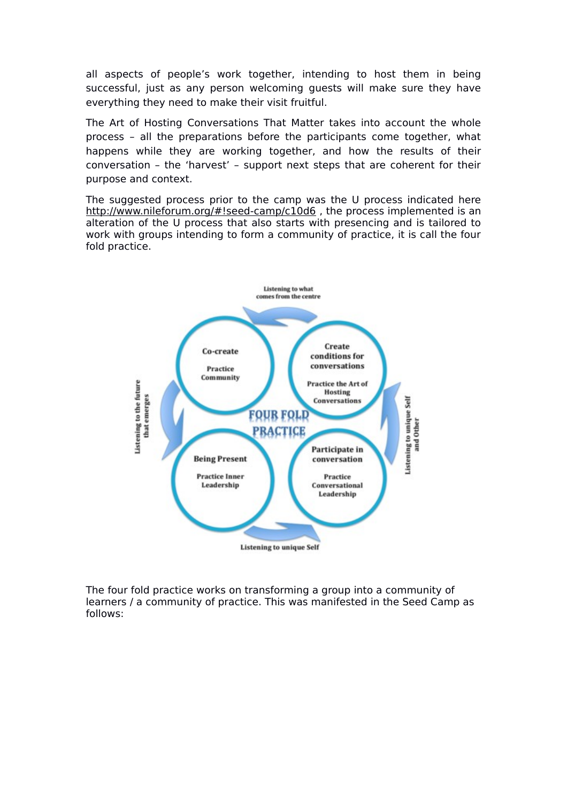all aspects of people's work together, intending to host them in being successful, just as any person welcoming guests will make sure they have everything they need to make their visit fruitful.

The Art of Hosting Conversations That Matter takes into account the whole process – all the preparations before the participants come together, what happens while they are working together, and how the results of their conversation – the 'harvest' – support next steps that are coherent for their purpose and context.

The suggested process prior to the camp was the U process indicated here http://www.nileforum.org/#!seed-camp/c10d6, the process implemented is an alteration of the U process that also starts with presencing and is tailored to work with groups intending to form a community of practice, it is call the four fold practice.



The four fold practice works on transforming a group into a community of learners / a community of practice. This was manifested in the Seed Camp as follows: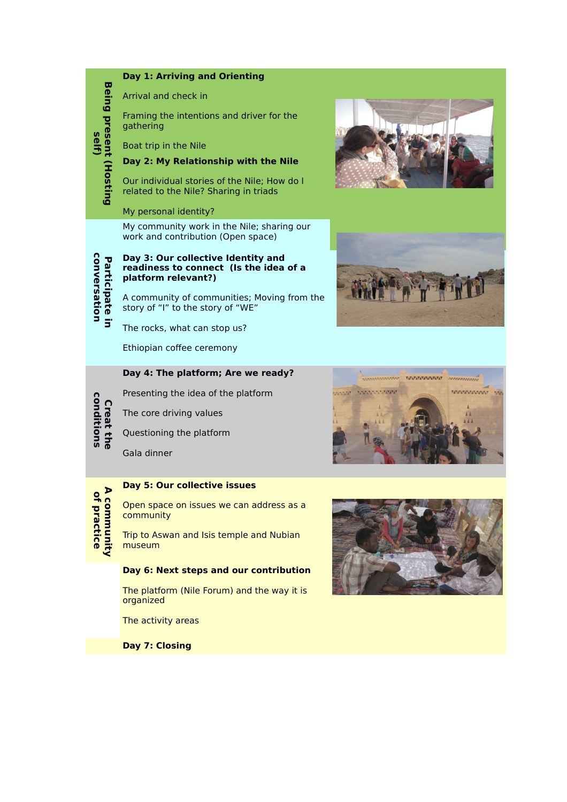

**Day 7: Closing**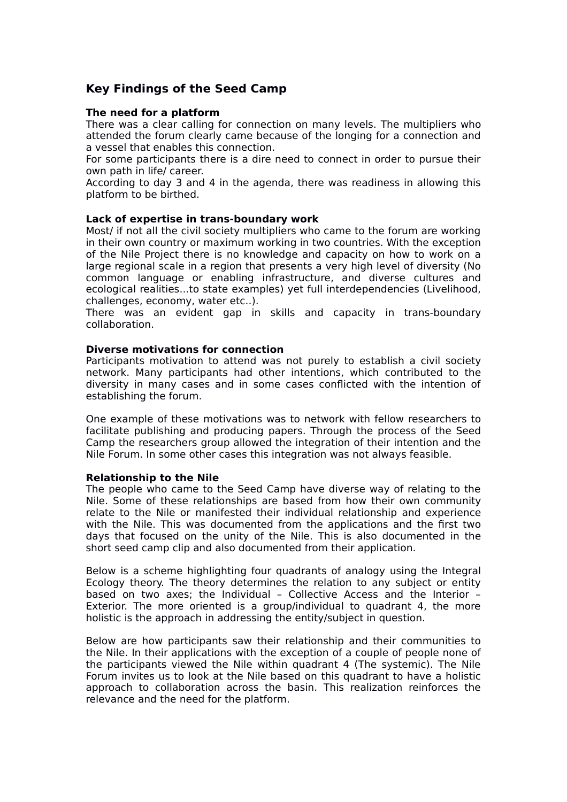# **Key Findings of the Seed Camp**

#### **The need for a platform**

There was a clear calling for connection on many levels. The multipliers who attended the forum clearly came because of the longing for a connection and a vessel that enables this connection.

For some participants there is a dire need to connect in order to pursue their own path in life/ career.

According to day 3 and 4 in the agenda, there was readiness in allowing this platform to be birthed.

#### **Lack of expertise in trans-boundary work**

Most/ if not all the civil society multipliers who came to the forum are working in their own country or maximum working in two countries. With the exception of the Nile Project there is no knowledge and capacity on how to work on a large regional scale in a region that presents a very high level of diversity (No common language or enabling infrastructure, and diverse cultures and ecological realities...to state examples) yet full interdependencies (Livelihood, challenges, economy, water etc..).

There was an evident gap in skills and capacity in trans-boundary collaboration.

#### **Diverse motivations for connection**

Participants motivation to attend was not purely to establish a civil society network. Many participants had other intentions, which contributed to the diversity in many cases and in some cases conflicted with the intention of establishing the forum.

One example of these motivations was to network with fellow researchers to facilitate publishing and producing papers. Through the process of the Seed Camp the researchers group allowed the integration of their intention and the Nile Forum. In some other cases this integration was not always feasible.

#### **Relationship to the Nile**

The people who came to the Seed Camp have diverse way of relating to the Nile. Some of these relationships are based from how their own community relate to the Nile or manifested their individual relationship and experience with the Nile. This was documented from the applications and the first two days that focused on the unity of the Nile. This is also documented in the short seed camp clip and also documented from their application.

Below is a scheme highlighting four quadrants of analogy using the Integral Ecology theory. The theory determines the relation to any subject or entity based on two axes; the Individual – Collective Access and the Interior – Exterior. The more oriented is a group/individual to quadrant 4, the more holistic is the approach in addressing the entity/subject in question.

Below are how participants saw their relationship and their communities to the Nile. In their applications with the exception of a couple of people none of the participants viewed the Nile within quadrant 4 (The systemic). The Nile Forum invites us to look at the Nile based on this quadrant to have a holistic approach to collaboration across the basin. This realization reinforces the relevance and the need for the platform.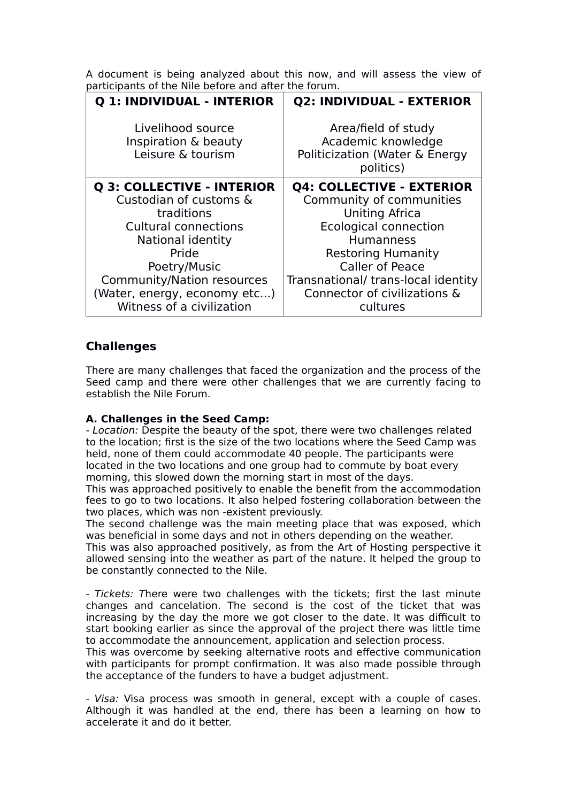A document is being analyzed about this now, and will assess the view of participants of the Nile before and after the forum.

| Q 1: INDIVIDUAL - INTERIOR                                     | <b>Q2: INDIVIDUAL - EXTERIOR</b>                                                         |
|----------------------------------------------------------------|------------------------------------------------------------------------------------------|
| Livelihood source<br>Inspiration & beauty<br>Leisure & tourism | Area/field of study<br>Academic knowledge<br>Politicization (Water & Energy<br>politics) |
| Q 3: COLLECTIVE - INTERIOR                                     | <b>Q4: COLLECTIVE - EXTERIOR</b>                                                         |
| Custodian of customs &                                         | Community of communities                                                                 |
| traditions                                                     | <b>Uniting Africa</b>                                                                    |
| <b>Cultural connections</b>                                    | <b>Ecological connection</b>                                                             |
| National identity                                              | <b>Humanness</b>                                                                         |
| Pride                                                          | <b>Restoring Humanity</b>                                                                |
| Poetry/Music                                                   | <b>Caller of Peace</b>                                                                   |
| Community/Nation resources                                     | Transnational/ trans-local identity                                                      |
| (Water, energy, economy etc)                                   | Connector of civilizations &                                                             |
| Witness of a civilization                                      | cultures                                                                                 |

# **Challenges**

There are many challenges that faced the organization and the process of the Seed camp and there were other challenges that we are currently facing to establish the Nile Forum.

### **A. Challenges in the Seed Camp:**

- Location: Despite the beauty of the spot, there were two challenges related to the location; first is the size of the two locations where the Seed Camp was held, none of them could accommodate 40 people. The participants were located in the two locations and one group had to commute by boat every morning, this slowed down the morning start in most of the days.

This was approached positively to enable the benefit from the accommodation fees to go to two locations. It also helped fostering collaboration between the two places, which was non -existent previously.

The second challenge was the main meeting place that was exposed, which was beneficial in some days and not in others depending on the weather.

This was also approached positively, as from the Art of Hosting perspective it allowed sensing into the weather as part of the nature. It helped the group to be constantly connected to the Nile.

- Tickets: There were two challenges with the tickets; first the last minute changes and cancelation. The second is the cost of the ticket that was increasing by the day the more we got closer to the date. It was difficult to start booking earlier as since the approval of the project there was little time to accommodate the announcement, application and selection process.

This was overcome by seeking alternative roots and effective communication with participants for prompt confirmation. It was also made possible through the acceptance of the funders to have a budget adjustment.

- Visa: Visa process was smooth in general, except with a couple of cases. Although it was handled at the end, there has been a learning on how to accelerate it and do it better.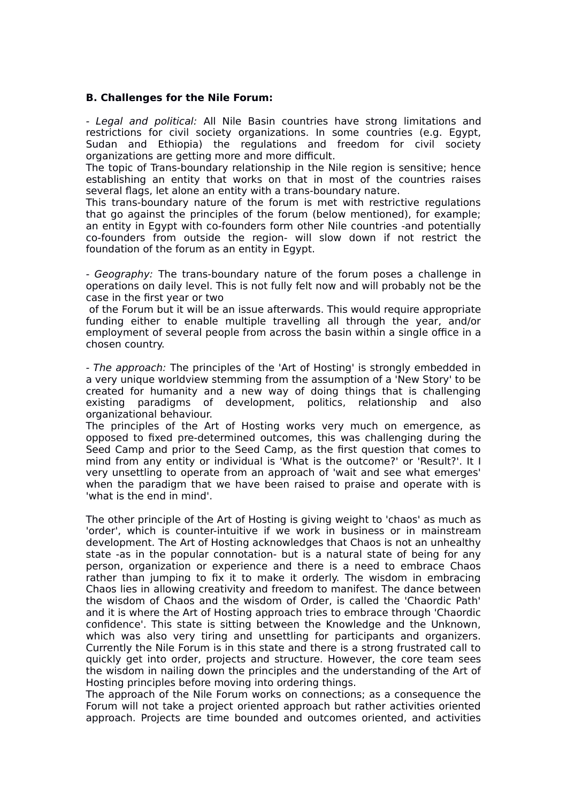#### **B. Challenges for the Nile Forum:**

- Legal and political: All Nile Basin countries have strong limitations and restrictions for civil society organizations. In some countries (e.g. Egypt, Sudan and Ethiopia) the regulations and freedom for civil society organizations are getting more and more difficult.

The topic of Trans-boundary relationship in the Nile region is sensitive; hence establishing an entity that works on that in most of the countries raises several flags, let alone an entity with a trans-boundary nature.

This trans-boundary nature of the forum is met with restrictive regulations that go against the principles of the forum (below mentioned), for example; an entity in Egypt with co-founders form other Nile countries -and potentially co-founders from outside the region- will slow down if not restrict the foundation of the forum as an entity in Egypt.

- Geography: The trans-boundary nature of the forum poses a challenge in operations on daily level. This is not fully felt now and will probably not be the case in the first year or two

 of the Forum but it will be an issue afterwards. This would require appropriate funding either to enable multiple travelling all through the year, and/or employment of several people from across the basin within a single office in a chosen country.

- The approach: The principles of the 'Art of Hosting' is strongly embedded in a very unique worldview stemming from the assumption of a 'New Story' to be created for humanity and a new way of doing things that is challenging existing paradigms of development, politics, relationship and also organizational behaviour.

The principles of the Art of Hosting works very much on emergence, as opposed to fixed pre-determined outcomes, this was challenging during the Seed Camp and prior to the Seed Camp, as the first question that comes to mind from any entity or individual is 'What is the outcome?' or 'Result?'. It I very unsettling to operate from an approach of 'wait and see what emerges' when the paradigm that we have been raised to praise and operate with is 'what is the end in mind'.

The other principle of the Art of Hosting is giving weight to 'chaos' as much as 'order', which is counter-intuitive if we work in business or in mainstream development. The Art of Hosting acknowledges that Chaos is not an unhealthy state -as in the popular connotation- but is a natural state of being for any person, organization or experience and there is a need to embrace Chaos rather than jumping to fix it to make it orderly. The wisdom in embracing Chaos lies in allowing creativity and freedom to manifest. The dance between the wisdom of Chaos and the wisdom of Order, is called the 'Chaordic Path' and it is where the Art of Hosting approach tries to embrace through 'Chaordic confidence'. This state is sitting between the Knowledge and the Unknown, which was also very tiring and unsettling for participants and organizers. Currently the Nile Forum is in this state and there is a strong frustrated call to quickly get into order, projects and structure. However, the core team sees the wisdom in nailing down the principles and the understanding of the Art of Hosting principles before moving into ordering things.

The approach of the Nile Forum works on connections; as a consequence the Forum will not take a project oriented approach but rather activities oriented approach. Projects are time bounded and outcomes oriented, and activities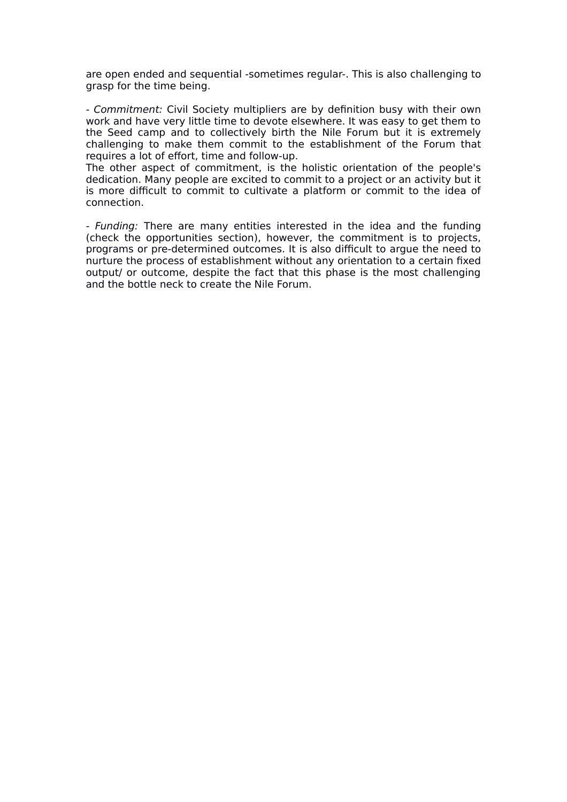are open ended and sequential -sometimes regular-. This is also challenging to grasp for the time being.

- Commitment: Civil Society multipliers are by definition busy with their own work and have very little time to devote elsewhere. It was easy to get them to the Seed camp and to collectively birth the Nile Forum but it is extremely challenging to make them commit to the establishment of the Forum that requires a lot of effort, time and follow-up.

The other aspect of commitment, is the holistic orientation of the people's dedication. Many people are excited to commit to a project or an activity but it is more difficult to commit to cultivate a platform or commit to the idea of connection.

- Funding: There are many entities interested in the idea and the funding (check the opportunities section), however, the commitment is to projects, programs or pre-determined outcomes. It is also difficult to argue the need to nurture the process of establishment without any orientation to a certain fixed output/ or outcome, despite the fact that this phase is the most challenging and the bottle neck to create the Nile Forum.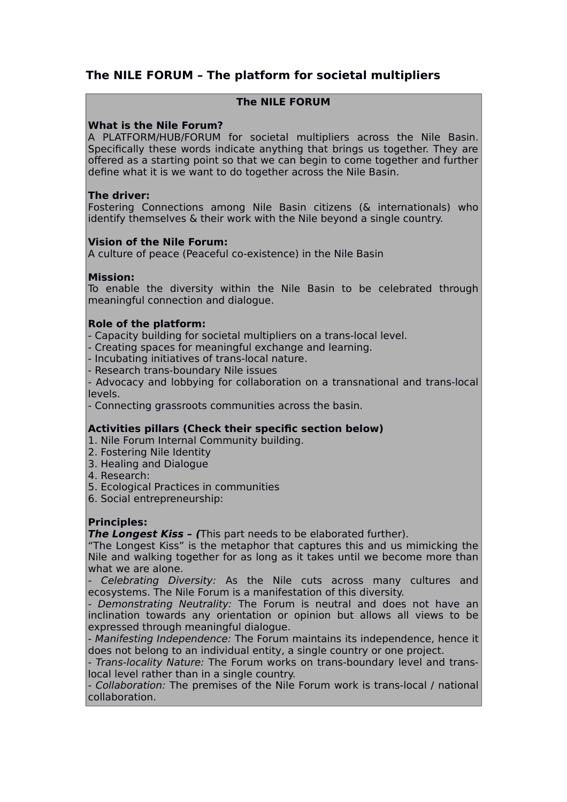# **The NILE FORUM – The platform for societal multipliers**

### **The NILE FORUM**

### **What is the Nile Forum?**

A PLATFORM/HUB/FORUM for societal multipliers across the Nile Basin. Specifically these words indicate anything that brings us together. They are offered as a starting point so that we can begin to come together and further define what it is we want to do together across the Nile Basin.

#### **The driver:**

Fostering Connections among Nile Basin citizens (& internationals) who identify themselves & their work with the Nile beyond a single country.

### **Vision of the Nile Forum:**

A culture of peace (Peaceful co-existence) in the Nile Basin

### **Mission:**

To enable the diversity within the Nile Basin to be celebrated through meaningful connection and dialogue.

#### **Role of the platform:**

- Capacity building for societal multipliers on a trans-local level.

- Creating spaces for meaningful exchange and learning.

- Incubating initiatives of trans-local nature.

- Research trans-boundary Nile issues

- Advocacy and lobbying for collaboration on a transnational and trans-local levels.

- Connecting grassroots communities across the basin.

### **Activities pillars (Check their specific section below)**

1. Nile Forum Internal Community building.

- 2. Fostering Nile Identity
- 3. Healing and Dialogue
- 4. Research:
- 5. Ecological Practices in communities

6. Social entrepreneurship:

### **Principles:**

**The Longest Kiss – (**This part needs to be elaborated further).

"The Longest Kiss" is the metaphor that captures this and us mimicking the Nile and walking together for as long as it takes until we become more than what we are alone.

- Celebrating Diversity: As the Nile cuts across many cultures and ecosystems. The Nile Forum is a manifestation of this diversity.

- Demonstrating Neutrality: The Forum is neutral and does not have an inclination towards any orientation or opinion but allows all views to be expressed through meaningful dialogue.

- Manifesting Independence: The Forum maintains its independence, hence it does not belong to an individual entity, a single country or one project.

- Trans-locality Nature: The Forum works on trans-boundary level and translocal level rather than in a single country.

- Collaboration: The premises of the Nile Forum work is trans-local / national collaboration.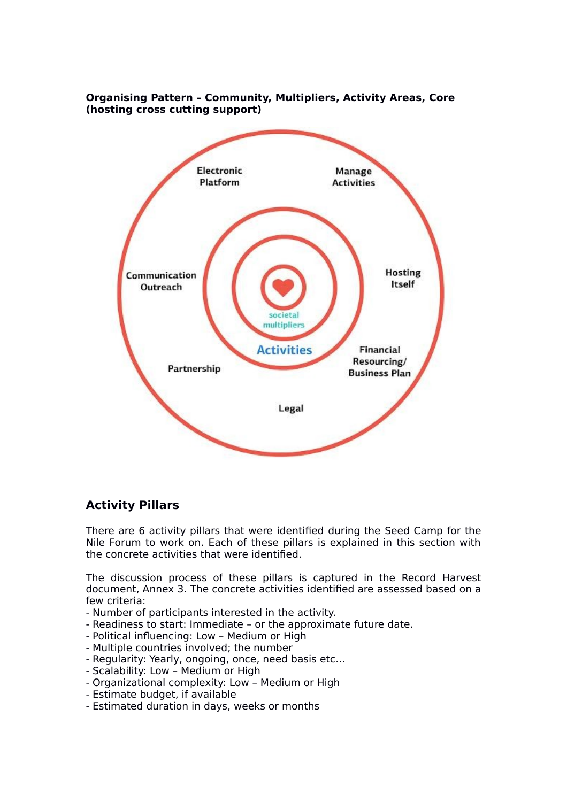

### **Organising Pattern – Community, Multipliers, Activity Areas, Core (hosting cross cutting support)**

# **Activity Pillars**

There are 6 activity pillars that were identified during the Seed Camp for the Nile Forum to work on. Each of these pillars is explained in this section with the concrete activities that were identified.

The discussion process of these pillars is captured in the Record Harvest document, Annex 3. The concrete activities identified are assessed based on a few criteria:

- Number of participants interested in the activity.
- Readiness to start: Immediate or the approximate future date.
- Political influencing: Low Medium or High
- Multiple countries involved; the number
- Regularity: Yearly, ongoing, once, need basis etc…
- Scalability: Low Medium or High
- Organizational complexity: Low Medium or High
- Estimate budget, if available
- Estimated duration in days, weeks or months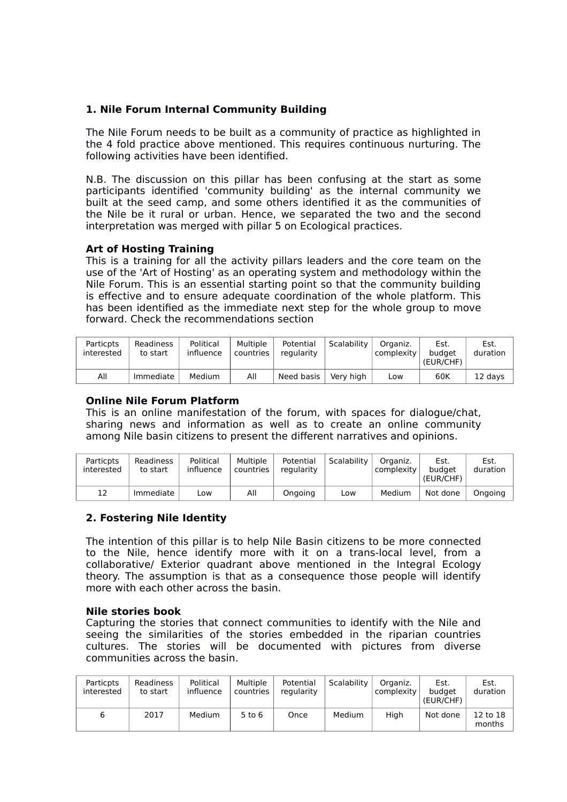### **1. Nile Forum Internal Community Building**

The Nile Forum needs to be built as a community of practice as highlighted in the 4 fold practice above mentioned. This requires continuous nurturing. The following activities have been identified.

N.B. The discussion on this pillar has been confusing at the start as some participants identified 'community building' as the internal community we built at the seed camp, and some others identified it as the communities of the Nile be it rural or urban. Hence, we separated the two and the second interpretation was merged with pillar 5 on Ecological practices.

### **Art of Hosting Training**

This is a training for all the activity pillars leaders and the core team on the use of the 'Art of Hosting' as an operating system and methodology within the Nile Forum. This is an essential starting point so that the community building is effective and to ensure adequate coordination of the whole platform. This has been identified as the immediate next step for the whole group to move forward. Check the recommendations section

| <b>Particpts</b><br>interested | Readiness<br>to start | Political<br>influence | Multiple<br>countries | Potential<br>regularity | Scalability | Organiz.<br>complexity | Est.<br>budaet<br>(EUR/CHF) | Est.<br>duration |
|--------------------------------|-----------------------|------------------------|-----------------------|-------------------------|-------------|------------------------|-----------------------------|------------------|
| All                            | Immediate             | Medium                 | All                   | Need basis              | Verv high   | Low                    | 60K                         | 12 davs          |

#### **Online Nile Forum Platform**

This is an online manifestation of the forum, with spaces for dialogue/chat, sharing news and information as well as to create an online community among Nile basin citizens to present the different narratives and opinions.

| Particpts<br>interested | Readiness<br>to start | Political<br>influence | <b>Multiple</b><br>countries | Potential<br>regularity | Scalability | Organiz.<br>  complexity | Est.<br>budaet<br>(EUR/CHF) | Est.<br>duration |
|-------------------------|-----------------------|------------------------|------------------------------|-------------------------|-------------|--------------------------|-----------------------------|------------------|
| 12                      | Immediate             | LOW                    | All                          | Ongoing                 | Low         | Medium                   | Not done                    | Onaoina          |

### **2. Fostering Nile Identity**

The intention of this pillar is to help Nile Basin citizens to be more connected to the Nile, hence identify more with it on a trans-local level, from a collaborative/ Exterior quadrant above mentioned in the Integral Ecology theory. The assumption is that as a consequence those people will identify more with each other across the basin.

#### **Nile stories book**

Capturing the stories that connect communities to identify with the Nile and seeing the similarities of the stories embedded in the riparian countries cultures. The stories will be documented with pictures from diverse communities across the basin.

| <b>Particpts</b><br>interested | Readiness<br>to start | Political<br>influence | <b>Multiple</b><br>countries | Potential<br>regularity | Scalability | Organiz.<br>complexity | Est.<br>budget<br>(EUR/CHF) | Est.<br>duration   |
|--------------------------------|-----------------------|------------------------|------------------------------|-------------------------|-------------|------------------------|-----------------------------|--------------------|
| ь                              | 2017                  | Medium                 | $5$ to $6$                   | Once                    | Medium      | Hiah                   | Not done                    | 12 to 18<br>months |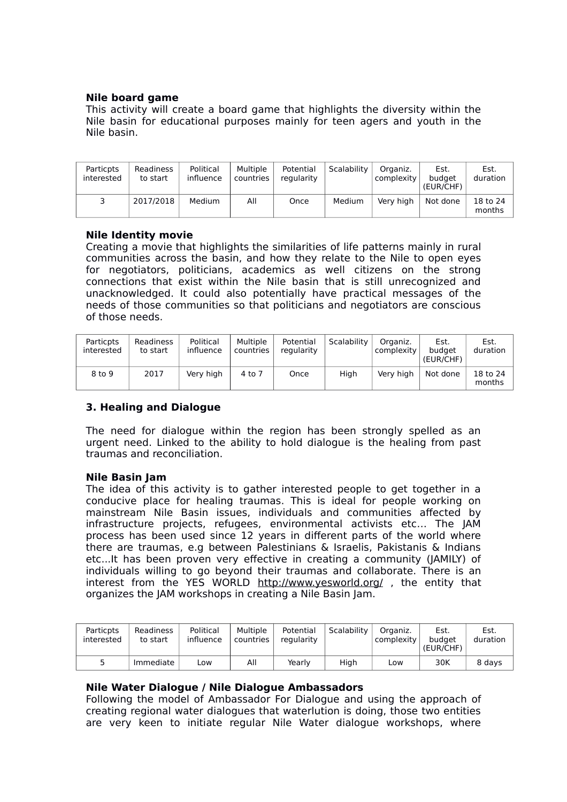#### **Nile board game**

This activity will create a board game that highlights the diversity within the Nile basin for educational purposes mainly for teen agers and youth in the Nile basin.

| Particpts<br>interested | Readiness<br>to start | Political<br>influence | Multiple<br>countries | Potential<br>regularity | Scalability | Organiz.<br>complexity | Est.<br>budaet<br>(EUR/CHF) | Est.<br>duration   |
|-------------------------|-----------------------|------------------------|-----------------------|-------------------------|-------------|------------------------|-----------------------------|--------------------|
|                         | 2017/2018             | Medium                 | All                   | Once                    | Medium      | Very high              | Not done                    | 18 to 24<br>months |

#### **Nile Identity movie**

Creating a movie that highlights the similarities of life patterns mainly in rural communities across the basin, and how they relate to the Nile to open eyes for negotiators, politicians, academics as well citizens on the strong connections that exist within the Nile basin that is still unrecognized and unacknowledged. It could also potentially have practical messages of the needs of those communities so that politicians and negotiators are conscious of those needs.

| Particpts<br>interested | Readiness<br>to start | Political<br>influence | Multiple<br>countries | Potential<br>regularity | Scalability | Organiz.<br>complexity | Est.<br>budget<br>(EUR/CHF) | Est.<br>duration   |
|-------------------------|-----------------------|------------------------|-----------------------|-------------------------|-------------|------------------------|-----------------------------|--------------------|
| 8 to 9                  | 2017                  | Very high              | 4 to 7                | Once                    | High        | Very high              | Not done                    | 18 to 24<br>months |

### **3. Healing and Dialogue**

The need for dialogue within the region has been strongly spelled as an urgent need. Linked to the ability to hold dialogue is the healing from past traumas and reconciliation.

#### **Nile Basin Jam**

The idea of this activity is to gather interested people to get together in a conducive place for healing traumas. This is ideal for people working on mainstream Nile Basin issues, individuals and communities affected by infrastructure projects, refugees, environmental activists etc… The JAM process has been used since 12 years in different parts of the world where there are traumas, e.g between Palestinians & Israelis, Pakistanis & Indians etc...It has been proven very effective in creating a community (JAMILY) of individuals willing to go beyond their traumas and collaborate. There is an interest from the YES WORLD http://www.yesworld.org/, the entity that organizes the JAM workshops in creating a Nile Basin Jam.

| Particpts<br>interested | Readiness<br>to start | Political<br>influence | Multiple<br>countries | Potential<br>regularity | Scalability | Organiz.<br>complexity | Est.<br>budaet<br>(EUR/CHF) | Est.<br>duration |
|-------------------------|-----------------------|------------------------|-----------------------|-------------------------|-------------|------------------------|-----------------------------|------------------|
|                         | Immediate             | LOW                    | All                   | Yearlv                  | High        | Low                    | 30K                         | 8 days           |

#### **Nile Water Dialogue / Nile Dialogue Ambassadors**

Following the model of Ambassador For Dialogue and using the approach of creating regional water dialogues that waterlution is doing, those two entities are very keen to initiate regular Nile Water dialogue workshops, where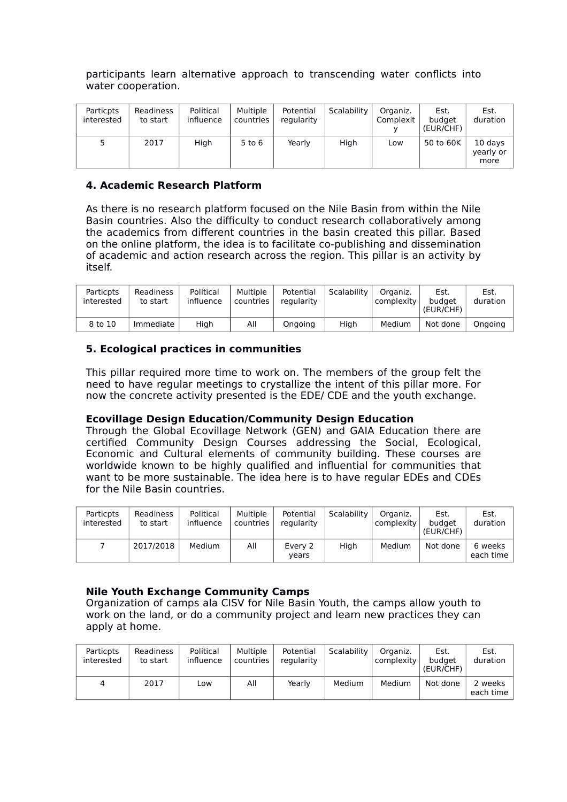participants learn alternative approach to transcending water conflicts into water cooperation.

| Particpts<br>interested | Readiness<br>to start | Political<br>influence | Multiple<br>countries | Potential<br>regularity | Scalability | Organiz.<br>Complexit | Est.<br>budget<br>(EUR/CHF) | Est.<br>duration             |
|-------------------------|-----------------------|------------------------|-----------------------|-------------------------|-------------|-----------------------|-----------------------------|------------------------------|
|                         | 2017                  | Hiah                   | $5$ to $6$            | Yearlv                  | Hiah        | Low                   | 50 to 60K                   | 10 days<br>yearly or<br>more |

### **4. Academic Research Platform**

As there is no research platform focused on the Nile Basin from within the Nile Basin countries. Also the difficulty to conduct research collaboratively among the academics from different countries in the basin created this pillar. Based on the online platform, the idea is to facilitate co-publishing and dissemination of academic and action research across the region. This pillar is an activity by itself.

| Particpts<br>interested | Readiness<br>to start | Political<br>influence | Multiple<br>countries | Potential<br>regularity | Scalability | Organiz.<br>complexity | Est.<br>budget<br>(EUR/CHF) | Est<br>duration |
|-------------------------|-----------------------|------------------------|-----------------------|-------------------------|-------------|------------------------|-----------------------------|-----------------|
| 8 to 10                 | Immediate             | Hiah                   | All                   | Ongoing                 | Hiah        | Medium                 | Not done                    | Onaoina         |

### **5. Ecological practices in communities**

This pillar required more time to work on. The members of the group felt the need to have regular meetings to crystallize the intent of this pillar more. For now the concrete activity presented is the EDE/ CDE and the youth exchange.

### **Ecovillage Design Education/Community Design Education**

Through the Global Ecovillage Network (GEN) and GAIA Education there are certified Community Design Courses addressing the Social, Ecological, Economic and Cultural elements of community building. These courses are worldwide known to be highly qualified and influential for communities that want to be more sustainable. The idea here is to have regular EDEs and CDEs for the Nile Basin countries.

| <b>Particpts</b><br>interested | Readiness<br>to start | Political<br>influence | Multiple<br>countries | Potential<br>regularity | Scalability | Organiz.<br>complexity | Est.<br>budget<br>(EUR/CHF) | Est.<br>duration     |
|--------------------------------|-----------------------|------------------------|-----------------------|-------------------------|-------------|------------------------|-----------------------------|----------------------|
|                                | 2017/2018             | Medium                 | All                   | Every 2<br>vears        | Hiah        | Medium                 | Not done                    | 6 weeks<br>each time |

### **Nile Youth Exchange Community Camps**

Organization of camps ala CISV for Nile Basin Youth, the camps allow youth to work on the land, or do a community project and learn new practices they can apply at home.

| <b>Particpts</b><br>interested | Readiness<br>to start | Political<br>influence | Multiple<br>countries | Potential<br>regularity | Scalability | Organiz.<br>complexity | Est.<br>budaet<br>(EUR/CHF) | Est.<br>duration     |
|--------------------------------|-----------------------|------------------------|-----------------------|-------------------------|-------------|------------------------|-----------------------------|----------------------|
| 4                              | 2017                  | Low                    | All                   | Yearlv                  | Medium      | <b>Medium</b>          | Not done                    | ' weeks<br>each time |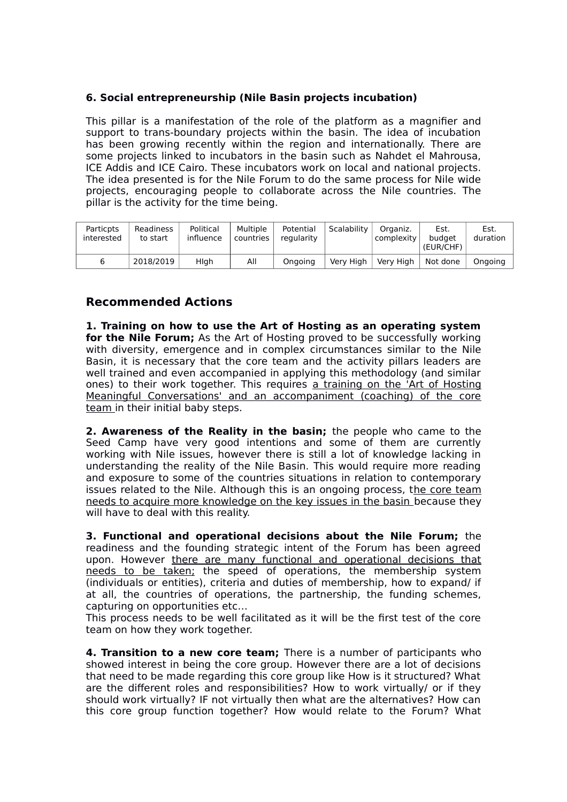### **6. Social entrepreneurship (Nile Basin projects incubation)**

This pillar is a manifestation of the role of the platform as a magnifier and support to trans-boundary projects within the basin. The idea of incubation has been growing recently within the region and internationally. There are some projects linked to incubators in the basin such as Nahdet el Mahrousa, ICE Addis and ICE Cairo. These incubators work on local and national projects. The idea presented is for the Nile Forum to do the same process for Nile wide projects, encouraging people to collaborate across the Nile countries. The pillar is the activity for the time being.

| Particpts<br>interested | Readiness<br>to start | Political<br>influence | <b>Multiple</b><br>countries | Potential<br>regularity | Scalability | Organiz.<br>complexity | Est.<br>budget<br>(EUR/CHF) | Est.<br>duration |
|-------------------------|-----------------------|------------------------|------------------------------|-------------------------|-------------|------------------------|-----------------------------|------------------|
| ь                       | 2018/2019             | Hlah                   | All                          | Ongoing                 | Very High   | Very High              | Not done                    | Onaoina          |

# **Recommended Actions**

**1. Training on how to use the Art of Hosting as an operating system for the Nile Forum;** As the Art of Hosting proved to be successfully working with diversity, emergence and in complex circumstances similar to the Nile Basin, it is necessary that the core team and the activity pillars leaders are well trained and even accompanied in applying this methodology (and similar ones) to their work together. This requires a training on the 'Art of Hosting Meaningful Conversations' and an accompaniment (coaching) of the core team in their initial baby steps.

**2. Awareness of the Reality in the basin;** the people who came to the Seed Camp have very good intentions and some of them are currently working with Nile issues, however there is still a lot of knowledge lacking in understanding the reality of the Nile Basin. This would require more reading and exposure to some of the countries situations in relation to contemporary issues related to the Nile. Although this is an ongoing process, the core team needs to acquire more knowledge on the key issues in the basin because they will have to deal with this reality.

**3. Functional and operational decisions about the Nile Forum;** the readiness and the founding strategic intent of the Forum has been agreed upon. However there are many functional and operational decisions that needs to be taken; the speed of operations, the membership system (individuals or entities), criteria and duties of membership, how to expand/ if at all, the countries of operations, the partnership, the funding schemes, capturing on opportunities etc…

This process needs to be well facilitated as it will be the first test of the core team on how they work together.

**4. Transition to a new core team;** There is a number of participants who showed interest in being the core group. However there are a lot of decisions that need to be made regarding this core group like How is it structured? What are the different roles and responsibilities? How to work virtually/ or if they should work virtually? IF not virtually then what are the alternatives? How can this core group function together? How would relate to the Forum? What